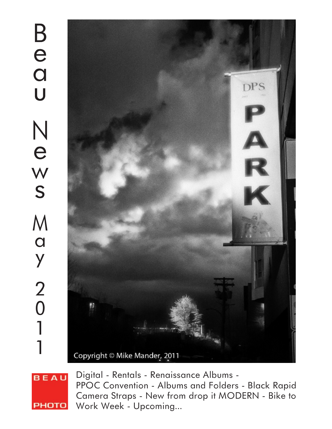

**BEAU PHOTO** 

Digital - Rentals - Renaissance Albums - PPOC Convention - Albums and Folders - Black Rapid Camera Straps - New from drop it MODERN - Bike to Work Week - Upcoming...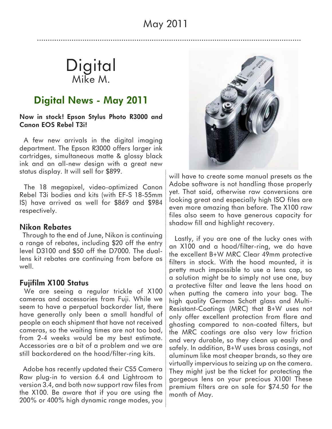## **Digital** Mike M.

#### **Digital News - May 2011**

**Now in stock! Epson Stylus Photo R3000 and Canon EOS Rebel T3i!**

 A few new arrivals in the digital imaging department. The Epson R3000 offers larger ink cartridges, simultaneous matte & glossy black ink and an all-new design with a great new status display. It will sell for \$899.

 The 18 megapixel, video-optimized Canon Rebel T3i bodies and kits (with EF-S 18-55mm IS) have arrived as well for \$869 and \$984 respectively.

#### **Nikon Rebates**

 Through to the end of June, Nikon is continuing a range of rebates, including \$20 off the entry level D3100 and \$50 off the D7000. The duallens kit rebates are continuing from before as well.

#### **Fujifilm X100 Status**

 We are seeing a regular trickle of X100 cameras and accessories from Fuji. While we seem to have a perpetual backorder list, there have generally only been a small handful of people on each shipment that have not received cameras, so the waiting times are not too bad, from 2-4 weeks would be my best estimate. Accessories are a bit of a problem and we are still backordered on the hood/filter-ring kits.

 Adobe has recently updated their CS5 Camera Raw plug-in to version 6.4 and Lightroom to version 3.4, and both now support raw files from the X100. Be aware that if you are using the 200% or 400% high dynamic range modes, you



will have to create some manual presets as the Adobe software is not handling those properly yet. That said, otherwise raw conversions are looking great and especially high ISO files are even more amazing than before. The X100 raw files also seem to have generous capacity for shadow fill and highlight recovery.

 Lastly, if you are one of the lucky ones with an X100 and a hood/filter-ring, we do have the excellent B+W MRC Clear 49mm protective filters in stock. With the hood mounted, it is pretty much impossible to use a lens cap, so a solution might be to simply not use one, buy a protective filter and leave the lens hood on when putting the camera into your bag. The high quality German Schott glass and Multi-Resistant-Coatings (MRC) that B+W uses not only offer excellent protection from flare and ghosting compared to non-coated filters, but the MRC coatings are also very low friction and very durable, so they clean up easily and safely. In addition, B+W uses brass casings, not aluminum like most cheaper brands, so they are virtually impervious to seizing up on the camera. They might just be the ticket for protecting the gorgeous lens on your precious X100! These premium filters are on sale for \$74.50 for the month of May.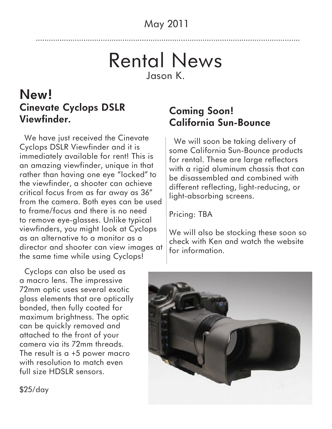## Rental News Jason K.

### **New! Cinevate Cyclops DSLR Viewfinder.**

 We have just received the Cinevate Cyclops DSLR Viewfinder and it is immediately available for rent! This is an amazing viewfinder, unique in that rather than having one eye "locked" to the viewfinder, a shooter can achieve critical focus from as far away as 36" from the camera. Both eyes can be used to frame/focus and there is no need to remove eye-glasses. Unlike typical viewfinders, you might look at Cyclops as an alternative to a monitor as a director and shooter can view images at the same time while using Cyclops!

 Cyclops can also be used as a macro lens. The impressive 72mm optic uses several exotic glass elements that are optically bonded, then fully coated for maximum brightness. The optic can be quickly removed and attached to the front of your camera via its 72mm threads. The result is a +5 power macro with resolution to match even full size HDSLR sensors.

#### **Coming Soon! California Sun-Bounce**

 We will soon be taking delivery of some California Sun-Bounce products for rental. These are large reflectors with a rigid aluminum chassis that can be disassembled and combined with different reflecting, light-reducing, or light-absorbing screens.

Pricing: TBA

We will also be stocking these soon so check with Ken and watch the website for information.



\$25/day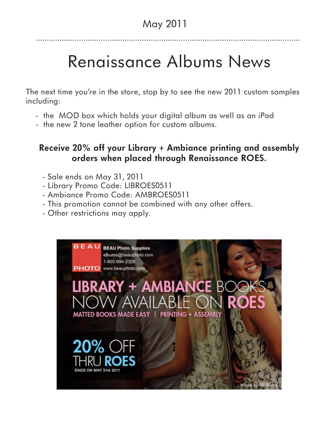# Renaissance Albums News

The next time you're in the store, stop by to see the new 2011 custom samples including:

- the MOD box which holds your digital album as well as an iPad
- the new 2 tone leather option for custom albums.

#### **Receive 20% off your Library + Ambiance printing and assembly orders when placed through Renaissance ROES.**

- Sale ends on May 31, 2011
- Library Promo Code: LIBROES0511
- Ambiance Promo Code: AMBROES0511
- This promotion cannot be combined with any other offers.
- Other restrictions may apply.

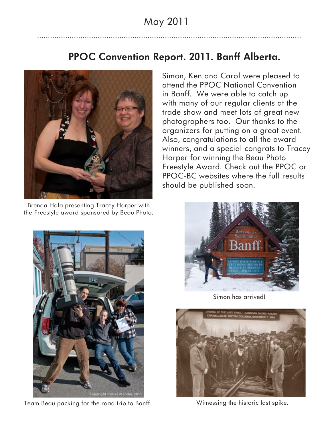#### **PPOC Convention Report. 2011. Banff Alberta.**



Brenda Hala presenting Tracey Harper with the Freestyle award sponsored by Beau Photo.

Simon, Ken and Carol were pleased to attend the PPOC National Convention in Banff. We were able to catch up with many of our regular clients at the trade show and meet lots of great new photographers too. Our thanks to the organizers for putting on a great event. Also, congratulations to all the award winners, and a special congrats to Tracey Harper for winning the Beau Photo Freestyle Award. Check out the PPOC or PPOC-BC websites where the full results should be published soon.



Team Beau packing for the road trip to Banff.



Simon has arrived!



Witnessing the historic last spike.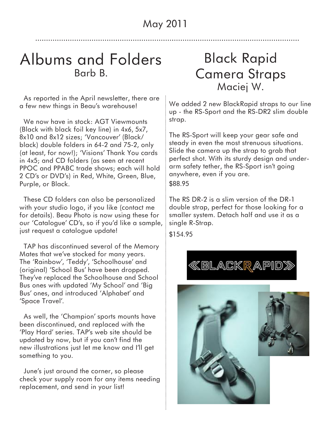### Albums and Folders Barb B.

 As reported in the April newsletter, there are a few new things in Beau's warehouse!

 We now have in stock: AGT Viewmounts (Black with black foil key line) in 4x6, 5x7, 8x10 and 8x12 sizes; 'Vancouver' (Black/ black) double folders in 64-2 and 75-2, only (at least, for now!); 'Visions' Thank You cards in 4x5; and CD folders (as seen at recent PPOC and PPABC trade shows; each will hold 2 CD's or DVD's) in Red, White, Green, Blue, Purple, or Black.

 These CD folders can also be personalized with your studio logo, if you like (contact me for details). Beau Photo is now using these for our 'Catalogue' CD's, so if you'd like a sample, just request a catalogue update!

 TAP has discontinued several of the Memory Mates that we've stocked for many years. The 'Rainbow', 'Teddy', 'Schoolhouse' and (original) 'School Bus' have been dropped. They've replaced the Schoolhouse and School Bus ones with updated 'My School' and 'Big Bus' ones, and introduced 'Alphabet' and 'Space Travel'.

 As well, the 'Champion' sports mounts have been discontinued, and replaced with the 'Play Hard' series. TAP's web site should be updated by now, but if you can't find the new illustrations just let me know and I'll get something to you.

 June's just around the corner, so please check your supply room for any items needing replacement, and send in your list!

## Black Rapid Camera Straps Maciej W.

We added 2 new BlackRapid straps to our line up - the RS-Sport and the RS-DR2 slim double strap.

The RS-Sport will keep your gear safe and steady in even the most strenuous situations. Slide the camera up the strap to grab that perfect shot. With its sturdy design and underarm safety tether, the RS-Sport isn't going anywhere, even if you are. \$88.95

The RS DR-2 is a slim version of the DR-1 double strap, perfect for those looking for a smaller system. Detach half and use it as a single R-Strap.

\$154.95



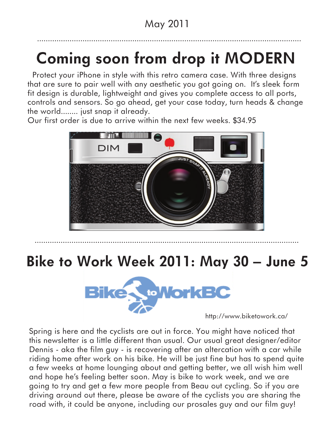# **Coming soon from drop it MODERN**

 Protect your iPhone in style with this retro camera case. With three designs that are sure to pair well with any aesthetic you got going on. It's sleek form fit design is durable, lightweight and gives you complete access to all ports, controls and sensors. So go ahead, get your case today, turn heads & change the world........ just snap it already.

Our first order is due to arrive within the next few weeks. \$34.95



## **Bike to Work Week 2011: May 30 – June 5**



http://www.biketowork.ca/

Spring is here and the cyclists are out in force. You might have noticed that this newsletter is a little different than usual. Our usual great designer/editor Dennis - aka the film guy - is recovering after an altercation with a car while riding home after work on his bike. He will be just fine but has to spend quite a few weeks at home lounging about and getting better, we all wish him well and hope he's feeling better soon. May is bike to work week, and we are going to try and get a few more people from Beau out cycling. So if you are driving around out there, please be aware of the cyclists you are sharing the road with, it could be anyone, including our prosales guy and our film guy!